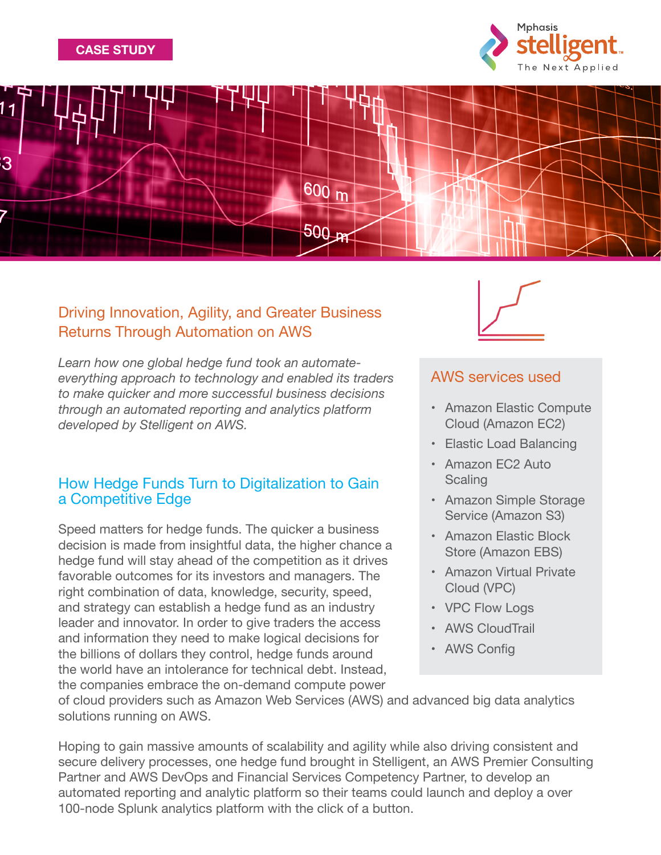





## Driving Innovation, Agility, and Greater Business Returns Through Automation on AWS

*Learn how one global hedge fund took an automateeverything approach to technology and enabled its traders to make quicker and more successful business decisions through an automated reporting and analytics platform developed by Stelligent on AWS.*

### How Hedge Funds Turn to Digitalization to Gain a Competitive Edge

Speed matters for hedge funds. The quicker a business decision is made from insightful data, the higher chance a hedge fund will stay ahead of the competition as it drives favorable outcomes for its investors and managers. The right combination of data, knowledge, security, speed, and strategy can establish a hedge fund as an industry leader and innovator. In order to give traders the access and information they need to make logical decisions for the billions of dollars they control, hedge funds around the world have an intolerance for technical debt. Instead, the companies embrace the on-demand compute power



## AWS services used

- • Amazon Elastic Compute Cloud (Amazon EC2)
- Elastic Load Balancing
- • Amazon EC2 Auto **Scaling**
- • Amazon Simple Storage Service (Amazon S3)
- • Amazon Elastic Block Store (Amazon EBS)
- • Amazon Virtual Private Cloud (VPC)
- VPC Flow Logs
- AWS CloudTrail
- • AWS Config

of cloud providers such as Amazon Web Services (AWS) and advanced big data analytics solutions running on AWS.

Hoping to gain massive amounts of scalability and agility while also driving consistent and secure delivery processes, one hedge fund brought in Stelligent, an AWS Premier Consulting Partner and AWS DevOps and Financial Services Competency Partner, to develop an automated reporting and analytic platform so their teams could launch and deploy a over 100-node Splunk analytics platform with the click of a button.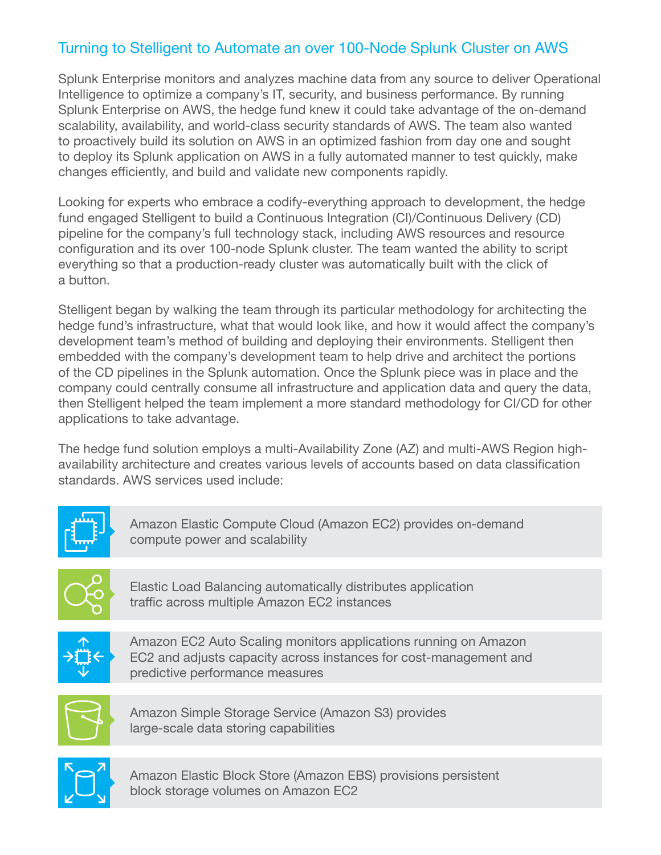# Turning to Stelligent to Automate an over 100-Node Splunk Cluster on AWS

Splunk Enterprise monitors and analyzes machine data from any source to deliver Operational Intelligence to optimize a company's IT, security, and business performance. By running Splunk Enterprise on AWS, the hedge fund knew it could take advantage of the on-demand scalability, availability, and world-class security standards of AWS. The team also wanted to proactively build its solution on AWS in an optimized fashion from day one and sought to deploy its Splunk application on AWS in a fully automated manner to test quickly, make changes efficiently, and build and validate new components rapidly.

Looking for experts who embrace a codify-everything approach to development, the hedge fund engaged Stelligent to build a Continuous Integration (CI)/Continuous Delivery (CD) pipeline for the company's full technology stack, including AWS resources and resource configuration and its over 100-node Splunk cluster. The team wanted the ability to script everything so that a production-ready cluster was automatically built with the click of a button.

Stelligent began by walking the team through its particular methodology for architecting the hedge fund's infrastructure, what that would look like, and how it would affect the company's development team's method of building and deploying their environments. Stelligent then embedded with the company's development team to help drive and architect the portions of the CD pipelines in the Splunk automation. Once the Splunk piece was in place and the company could centrally consume all infrastructure and application data and query the data, then Stelligent helped the team implement a more standard methodology for CI/CD for other applications to take advantage.

The hedge fund solution employs a multi-Availability Zone (AZ) and multi-AWS Region highavailability architecture and creates various levels of accounts based on data classification standards. AWS services used include:



Amazon Elastic Compute Cloud (Amazon EC2) provides on-demand compute power and scalability



Elastic Load Balancing automatically distributes application traffic across multiple Amazon EC2 instances



Amazon EC2 Auto Scaling monitors applications running on Amazon EC2 and adjusts capacity across instances for cost-management and predictive performance measures



Amazon Simple Storage Service (Amazon S3) provides large-scale data storing capabilities



Amazon Elastic Block Store (Amazon EBS) provisions persistent block storage volumes on Amazon EC2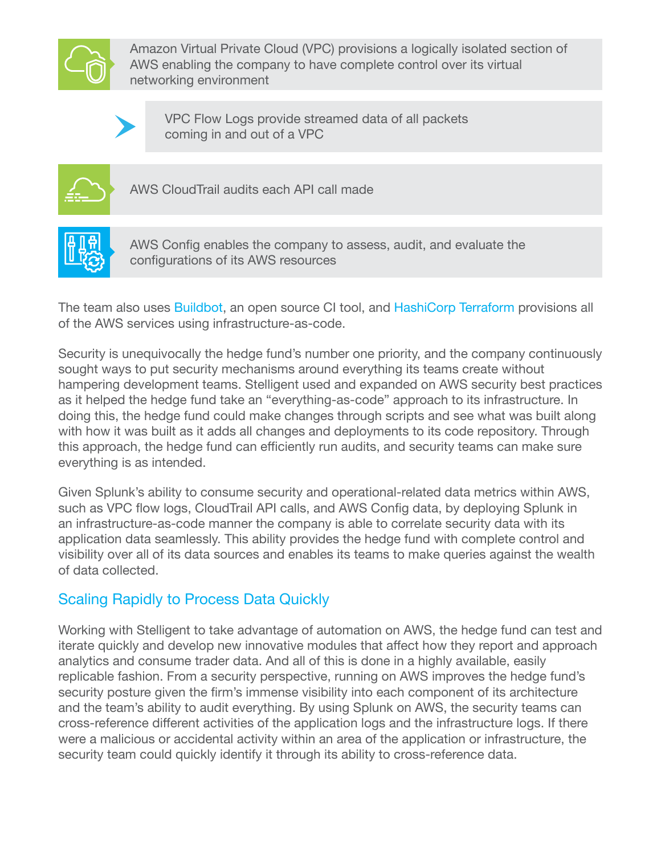

Amazon Virtual Private Cloud (VPC) provisions a logically isolated section of AWS enabling the company to have complete control over its virtual networking environment



VPC Flow Logs provide streamed data of all packets coming in and out of a VPC



AWS CloudTrail audits each API call made



AWS Config enables the company to assess, audit, and evaluate the configurations of its AWS resources

The team also uses [Buildbot](https://buildbot.net/), an open source CI tool, and [HashiCorp Terraform](https://www.terraform.io/) provisions all of the AWS services using infrastructure-as-code.

Security is unequivocally the hedge fund's number one priority, and the company continuously sought ways to put security mechanisms around everything its teams create without hampering development teams. Stelligent used and expanded on AWS security best practices as it helped the hedge fund take an "everything-as-code" approach to its infrastructure. In doing this, the hedge fund could make changes through scripts and see what was built along with how it was built as it adds all changes and deployments to its code repository. Through this approach, the hedge fund can efficiently run audits, and security teams can make sure everything is as intended.

Given Splunk's ability to consume security and operational-related data metrics within AWS, such as VPC flow logs, CloudTrail API calls, and AWS Config data, by deploying Splunk in an infrastructure-as-code manner the company is able to correlate security data with its application data seamlessly. This ability provides the hedge fund with complete control and visibility over all of its data sources and enables its teams to make queries against the wealth of data collected.

# Scaling Rapidly to Process Data Quickly

Working with Stelligent to take advantage of automation on AWS, the hedge fund can test and iterate quickly and develop new innovative modules that affect how they report and approach analytics and consume trader data. And all of this is done in a highly available, easily replicable fashion. From a security perspective, running on AWS improves the hedge fund's security posture given the firm's immense visibility into each component of its architecture and the team's ability to audit everything. By using Splunk on AWS, the security teams can cross-reference different activities of the application logs and the infrastructure logs. If there were a malicious or accidental activity within an area of the application or infrastructure, the security team could quickly identify it through its ability to cross-reference data.